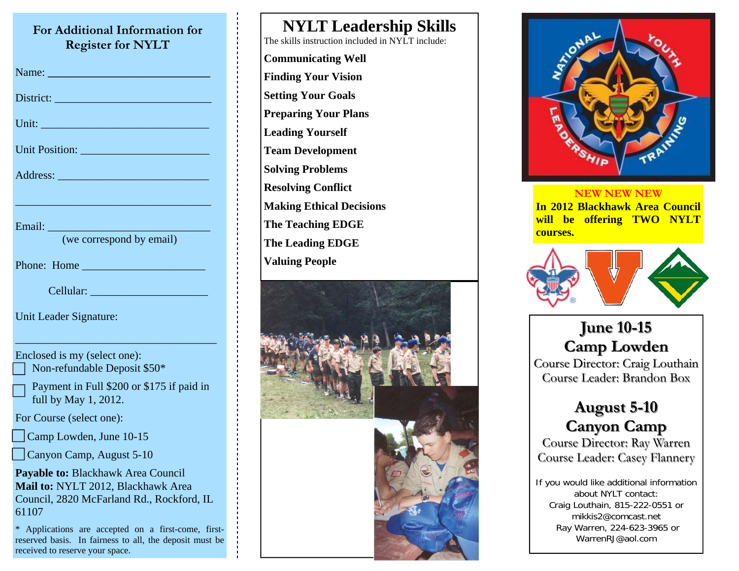### **For Additional Information for Register for NYLT**

| Register for TVTLT                                                                                                                                                                                                             |
|--------------------------------------------------------------------------------------------------------------------------------------------------------------------------------------------------------------------------------|
| Name: Name and Name and Name and Name and Name and Name and Name and Name and Name and Name and Name and Name and Name and Name and Name and Name and Name and Name and Name and Name and Name and Name and Name and Name and  |
| District: New York Changes and Changes and Changes and Changes and Changes and Changes and Changes and Changes and Changes and Changes and Changes and Changes and Changes and Changes and Changes and Changes and Changes and |
|                                                                                                                                                                                                                                |
| Unit Position:                                                                                                                                                                                                                 |
|                                                                                                                                                                                                                                |
| Email: No. 1994<br>(we correspond by email)                                                                                                                                                                                    |
| Phone: Home                                                                                                                                                                                                                    |
| Cellular:                                                                                                                                                                                                                      |
| Unit Leader Signature:                                                                                                                                                                                                         |
| Enclosed is my (select one):<br>Non-refundable Deposit \$50*                                                                                                                                                                   |
| Payment in Full \$200 or \$175 if paid in<br>full by May 1, 2012.                                                                                                                                                              |
| For Course (select one):                                                                                                                                                                                                       |
| $\Box$ Camp Lowden, June 10-15                                                                                                                                                                                                 |
| Canyon Camp, August 5-10                                                                                                                                                                                                       |
| Payable to: Blackhawk Area Council<br>Mail to: NYLT 2012, Blackhawk Area<br>Council, 2820 McFarland Rd., Rockford, IL<br>61107                                                                                                 |
| ∗<br>Applications are accepted on a first-come, first-<br>reserved basis. In fairness to all, the deposit must be                                                                                                              |

received to reserve your space.

**NYLT Leadership Skills** The skills instruction included in NYLT include: **Communicating Well Finding Your Vision Setting Your Goals Preparing Your Plans Leading Yourself Team Development Solving Problems Resolving Conflict Making Ethical Decisions The Teaching EDGE The Leading EDGE** 





#### **NEW NEW NEW In 2012 Blackhawk Area Council will be offering TWO NYLT courses.**



**June 10 June 10-15 Camp Lowden Camp Lowden** Course Director: Craig Louthain Course Leader: Brandon Box

## **August 5 August 5-10 Canyon Camp Canyon Camp**

Course Director: Ray Warren Course Leader: Casey Flannery

If you would like additional information about NYLT contact: Craig Louthain, 815-222-0551 or mikkis2@comcast.net Ray Warren, 224-623-3965 or WarrenRJ@aol.com